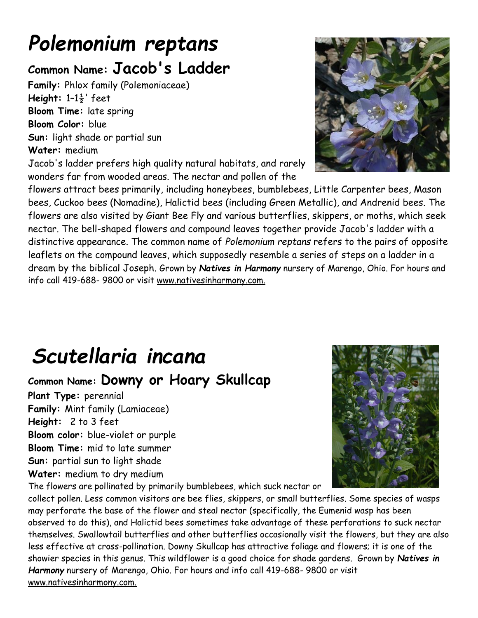# *Polemonium reptans*

### **Common Name: Jacob's Ladder**

**Family:** Phlox family (Polemoniaceae) **Height:** 1–1½' feet **Bloom Time:** late spring **Bloom Color:** blue **Sun:** light shade or partial sun **Water:** medium

Jacob's ladder prefers high quality natural habitats, and rarely wonders far from wooded areas. The nectar and pollen of the



flowers attract bees primarily, including honeybees, bumblebees, Little Carpenter bees, Mason bees, Cuckoo bees (Nomadine), Halictid bees (including Green Metallic), and Andrenid bees. The flowers are also visited by Giant Bee Fly and various butterflies, skippers, or moths, which seek nectar. The bell-shaped flowers and compound leaves together provide Jacob's ladder with a distinctive appearance. The common name of *Polemonium reptans* refers to the pairs of opposite leaflets on the compound leaves, which supposedly resemble a series of steps on a ladder in a dream by the biblical Joseph. Grown by *Natives in Harmony* nursery of Marengo, Ohio. For hours and info call 419-688- 9800 or visit www.nativesinharmony.com.

## *Scutellaria incana*

#### **Common Name: Downy or Hoary Skullcap**

**Plant Type:** perennial **Family:** Mint family (Lamiaceae) **Height:** 2 to 3 feet **Bloom color:** blue-violet or purple **Bloom Time:** mid to late summer **Sun:** partial sun to light shade **Water:** medium to dry medium

The flowers are pollinated by primarily bumblebees, which suck nectar or



collect pollen. Less common visitors are bee flies, skippers, or small butterflies. Some species of wasps may perforate the base of the flower and steal nectar (specifically, the Eumenid wasp has been observed to do this), and Halictid bees sometimes take advantage of these perforations to suck nectar themselves. Swallowtail butterflies and other butterflies occasionally visit the flowers, but they are also less effective at cross-pollination. Downy Skullcap has attractive foliage and flowers; it is one of the showier species in this genus. This wildflower is a good choice for shade gardens. Grown by *Natives in Harmony* nursery of Marengo, Ohio. For hours and info call 419-688- 9800 or visit www.nativesinharmony.com.